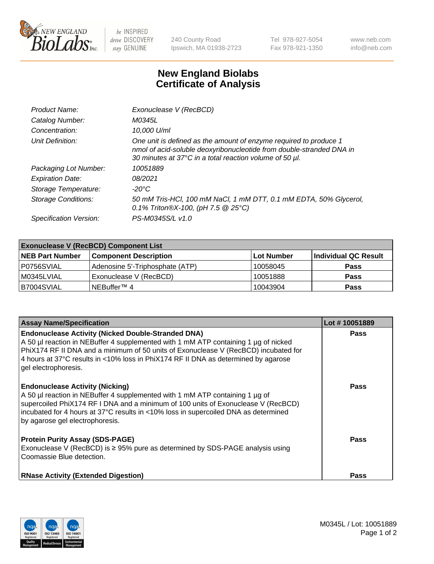

 $be$  INSPIRED drive DISCOVERY stay GENUINE

240 County Road Ipswich, MA 01938-2723 Tel 978-927-5054 Fax 978-921-1350 www.neb.com info@neb.com

## **New England Biolabs Certificate of Analysis**

| Product Name:              | Exonuclease V (RecBCD)                                                                                                                                                                               |
|----------------------------|------------------------------------------------------------------------------------------------------------------------------------------------------------------------------------------------------|
| Catalog Number:            | M0345L                                                                                                                                                                                               |
| Concentration:             | 10,000 U/ml                                                                                                                                                                                          |
| Unit Definition:           | One unit is defined as the amount of enzyme required to produce 1<br>nmol of acid-soluble deoxyribonucleotide from double-stranded DNA in<br>30 minutes at 37°C in a total reaction volume of 50 µl. |
| Packaging Lot Number:      | 10051889                                                                                                                                                                                             |
| <b>Expiration Date:</b>    | 08/2021                                                                                                                                                                                              |
| Storage Temperature:       | -20°C                                                                                                                                                                                                |
| <b>Storage Conditions:</b> | 50 mM Tris-HCl, 100 mM NaCl, 1 mM DTT, 0.1 mM EDTA, 50% Glycerol,<br>0.1% Triton®X-100, (pH 7.5 $@25°C$ )                                                                                            |
| Specification Version:     | PS-M0345S/L v1.0                                                                                                                                                                                     |

| <b>Exonuclease V (RecBCD) Component List</b> |                                 |                   |                      |  |
|----------------------------------------------|---------------------------------|-------------------|----------------------|--|
| <b>NEB Part Number</b>                       | <b>Component Description</b>    | <b>Lot Number</b> | Individual QC Result |  |
| I P0756SVIAL                                 | Adenosine 5'-Triphosphate (ATP) | 10058045          | <b>Pass</b>          |  |
| M0345LVIAL                                   | Exonuclease V (RecBCD)          | 10051888          | <b>Pass</b>          |  |
| B7004SVIAL                                   | INEBuffer™ 4                    | 10043904          | <b>Pass</b>          |  |

| <b>Assay Name/Specification</b>                                                                                                                                                                                                                                                                                                                       | Lot #10051889 |
|-------------------------------------------------------------------------------------------------------------------------------------------------------------------------------------------------------------------------------------------------------------------------------------------------------------------------------------------------------|---------------|
| <b>Endonuclease Activity (Nicked Double-Stranded DNA)</b><br>A 50 µl reaction in NEBuffer 4 supplemented with 1 mM ATP containing 1 µg of nicked<br>PhiX174 RF II DNA and a minimum of 50 units of Exonuclease V (RecBCD) incubated for<br>4 hours at 37°C results in <10% loss in PhiX174 RF II DNA as determined by agarose<br>gel electrophoresis. | <b>Pass</b>   |
| <b>Endonuclease Activity (Nicking)</b><br>A 50 µl reaction in NEBuffer 4 supplemented with 1 mM ATP containing 1 µg of<br>supercoiled PhiX174 RF I DNA and a minimum of 100 units of Exonuclease V (RecBCD)<br>incubated for 4 hours at 37°C results in <10% loss in supercoiled DNA as determined<br>by agarose gel electrophoresis.                 | <b>Pass</b>   |
| <b>Protein Purity Assay (SDS-PAGE)</b><br>Exonuclease V (RecBCD) is $\geq$ 95% pure as determined by SDS-PAGE analysis using<br>Coomassie Blue detection.                                                                                                                                                                                             | <b>Pass</b>   |
| <b>RNase Activity (Extended Digestion)</b>                                                                                                                                                                                                                                                                                                            | <b>Pass</b>   |